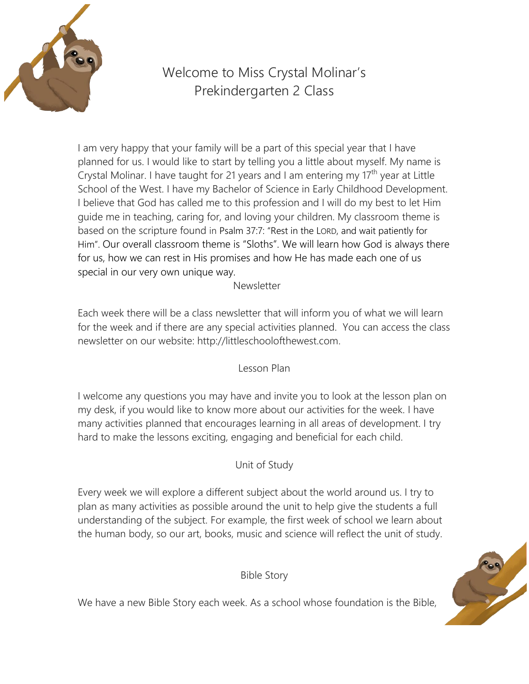

# Welcome to Miss Crystal Molinar's Prekindergarten 2 Class

I am very happy that your family will be a part of this special year that I have planned for us. I would like to start by telling you a little about myself. My name is Crystal Molinar. I have taught for 21 years and I am entering my  $17<sup>th</sup>$  year at Little School of the West. I have my Bachelor of Science in Early Childhood Development. I believe that God has called me to this profession and I will do my best to let Him guide me in teaching, caring for, and loving your children. My classroom theme is based on the scripture found in [Psalm 37:7:](https://www.biblegateway.com/passage/?search=Psalm%2037%3A7&version=NKJV) "Rest in the LORD, and wait patiently for Him". Our overall classroom theme is "Sloths". We will learn how God is always there for us, how we can rest in His promises and how He has made each one of us special in our very own unique way.

#### **Newsletter**

Each week there will be a class newsletter that will inform you of what we will learn for the week and if there are any special activities planned. You can access the class newsletter on our website: http://littleschoolofthewest.com.

Lesson Plan

I welcome any questions you may have and invite you to look at the lesson plan on my desk, if you would like to know more about our activities for the week. I have many activities planned that encourages learning in all areas of development. I try hard to make the lessons exciting, engaging and beneficial for each child.

Unit of Study

Every week we will explore a different subject about the world around us. I try to plan as many activities as possible around the unit to help give the students a full understanding of the subject. For example, the first week of school we learn about the human body, so our art, books, music and science will reflect the unit of study.

Bible Story

We have a new Bible Story each week. As a school whose foundation is the Bible,

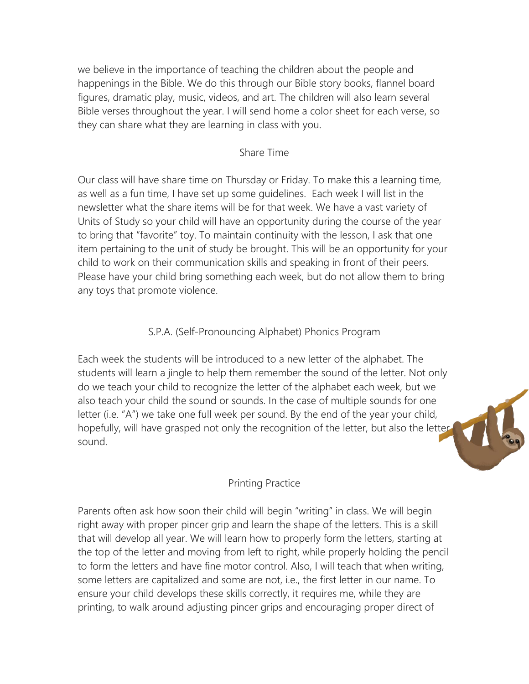we believe in the importance of teaching the children about the people and happenings in the Bible. We do this through our Bible story books, flannel board figures, dramatic play, music, videos, and art. The children will also learn several Bible verses throughout the year. I will send home a color sheet for each verse, so they can share what they are learning in class with you.

### Share Time

Our class will have share time on Thursday or Friday. To make this a learning time, as well as a fun time, I have set up some guidelines. Each week I will list in the newsletter what the share items will be for that week. We have a vast variety of Units of Study so your child will have an opportunity during the course of the year to bring that "favorite" toy. To maintain continuity with the lesson, I ask that one item pertaining to the unit of study be brought. This will be an opportunity for your child to work on their communication skills and speaking in front of their peers. Please have your child bring something each week, but do not allow them to bring any toys that promote violence.

## S.P.A. (Self-Pronouncing Alphabet) Phonics Program

Each week the students will be introduced to a new letter of the alphabet. The students will learn a jingle to help them remember the sound of the letter. Not only do we teach your child to recognize the letter of the alphabet each week, but we also teach your child the sound or sounds. In the case of multiple sounds for one letter (i.e. "A") we take one full week per sound. By the end of the year your child, hopefully, will have grasped not only the recognition of the letter, but also the letter sound.



## Printing Practice

Parents often ask how soon their child will begin "writing" in class. We will begin right away with proper pincer grip and learn the shape of the letters. This is a skill that will develop all year. We will learn how to properly form the letters, starting at the top of the letter and moving from left to right, while properly holding the pencil to form the letters and have fine motor control. Also, I will teach that when writing, some letters are capitalized and some are not, i.e., the first letter in our name. To ensure your child develops these skills correctly, it requires me, while they are printing, to walk around adjusting pincer grips and encouraging proper direct of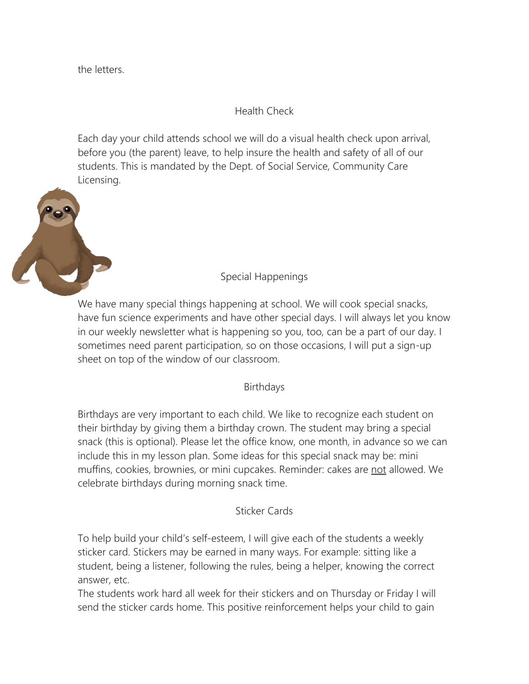the letters.

Health Check

Each day your child attends school we will do a visual health check upon arrival, before you (the parent) leave, to help insure the health and safety of all of our students. This is mandated by the Dept. of Social Service, Community Care Licensing.



Special Happenings

We have many special things happening at school. We will cook special snacks, have fun science experiments and have other special days. I will always let you know in our weekly newsletter what is happening so you, too, can be a part of our day. I sometimes need parent participation, so on those occasions, I will put a sign-up sheet on top of the window of our classroom.

Birthdays

Birthdays are very important to each child. We like to recognize each student on their birthday by giving them a birthday crown. The student may bring a special snack (this is optional). Please let the office know, one month, in advance so we can include this in my lesson plan. Some ideas for this special snack may be: mini muffins, cookies, brownies, or mini cupcakes. Reminder: cakes are not allowed. We celebrate birthdays during morning snack time.

Sticker Cards

To help build your child's self-esteem, I will give each of the students a weekly sticker card. Stickers may be earned in many ways. For example: sitting like a student, being a listener, following the rules, being a helper, knowing the correct answer, etc.

The students work hard all week for their stickers and on Thursday or Friday I will send the sticker cards home. This positive reinforcement helps your child to gain